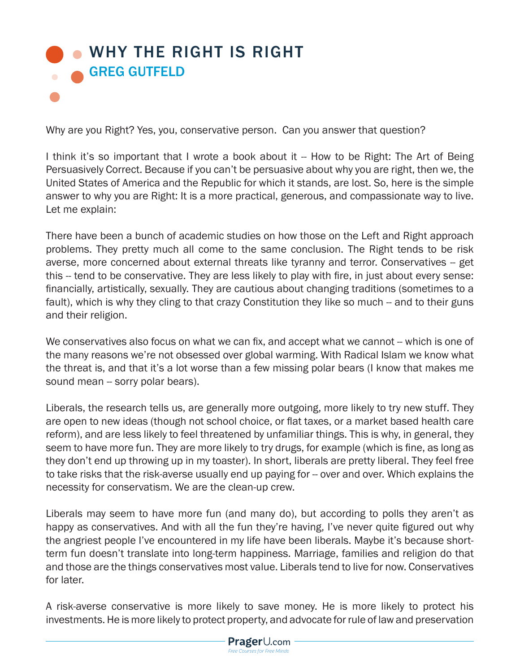## **• [WHY THE RIGHT IS RIGHT](http://www.prageru.com/Political-Science/Why-the-Right-is-Right.html)** GREG GUTFELD

Why are you Right? Yes, you, conservative person. Can you answer that question?

I think it's so important that I wrote a book about it -- How to be Right: The Art of Being Persuasively Correct. Because if you can't be persuasive about why you are right, then we, the United States of America and the Republic for which it stands, are lost. So, here is the simple answer to why you are Right: It is a more practical, generous, and compassionate way to live. Let me explain:

There have been a bunch of academic studies on how those on the Left and Right approach problems. They pretty much all come to the same conclusion. The Right tends to be risk averse, more concerned about external threats like tyranny and terror. Conservatives -- get this -- tend to be conservative. They are less likely to play with fire, in just about every sense: financially, artistically, sexually. They are cautious about changing traditions (sometimes to a fault), which is why they cling to that crazy Constitution they like so much -- and to their guns and their religion.

We conservatives also focus on what we can fix, and accept what we cannot -- which is one of the many reasons we're not obsessed over global warming. With Radical Islam we know what the threat is, and that it's a lot worse than a few missing polar bears (I know that makes me sound mean -- sorry polar bears).

Liberals, the research tells us, are generally more outgoing, more likely to try new stuff. They are open to new ideas (though not school choice, or flat taxes, or a market based health care reform), and are less likely to feel threatened by unfamiliar things. This is why, in general, they seem to have more fun. They are more likely to try drugs, for example (which is fine, as long as they don't end up throwing up in my toaster). In short, liberals are pretty liberal. They feel free to take risks that the risk-averse usually end up paying for -- over and over. Which explains the necessity for conservatism. We are the clean-up crew.

Liberals may seem to have more fun (and many do), but according to polls they aren't as happy as conservatives. And with all the fun they're having, I've never quite figured out why the angriest people I've encountered in my life have been liberals. Maybe it's because shortterm fun doesn't translate into long-term happiness. Marriage, families and religion do that and those are the things conservatives most value. Liberals tend to live for now. Conservatives for later.

A risk-averse conservative is more likely to save money. He is more likely to protect his investments. He is more likely to protect property, and advocate for rule of law and preservation